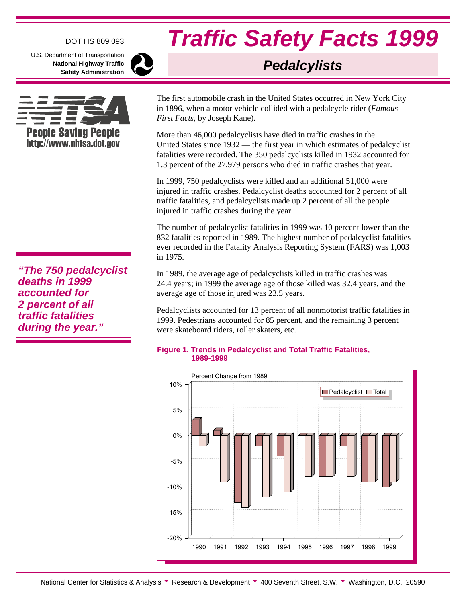### DOT HS 809 093

U.S. Department of Transportation **National Highway Traffic Safety Administration**



**"The 750 pedalcyclist deaths in 1999 accounted for 2 percent of all traffic fatalities during the year."**

# **Traffic Safety Facts 1999**

## **Pedalcylists**

The first automobile crash in the United States occurred in New York City in 1896, when a motor vehicle collided with a pedalcycle rider (*Famous First Facts*, by Joseph Kane).

More than 46,000 pedalcyclists have died in traffic crashes in the United States since 1932 — the first year in which estimates of pedalcyclist fatalities were recorded. The 350 pedalcyclists killed in 1932 accounted for 1.3 percent of the 27,979 persons who died in traffic crashes that year.

In 1999, 750 pedalcyclists were killed and an additional 51,000 were injured in traffic crashes. Pedalcyclist deaths accounted for 2 percent of all traffic fatalities, and pedalcyclists made up 2 percent of all the people injured in traffic crashes during the year.

The number of pedalcyclist fatalities in 1999 was 10 percent lower than the 832 fatalities reported in 1989. The highest number of pedalcyclist fatalities ever recorded in the Fatality Analysis Reporting System (FARS) was 1,003 in 1975.

In 1989, the average age of pedalcyclists killed in traffic crashes was 24.4 years; in 1999 the average age of those killed was 32.4 years, and the average age of those injured was 23.5 years.

Pedalcyclists accounted for 13 percent of all nonmotorist traffic fatalities in 1999. Pedestrians accounted for 85 percent, and the remaining 3 percent were skateboard riders, roller skaters, etc.

#### **Figure 1. Trends in Pedalcyclist and Total Traffic Fatalities, 1989-1999**

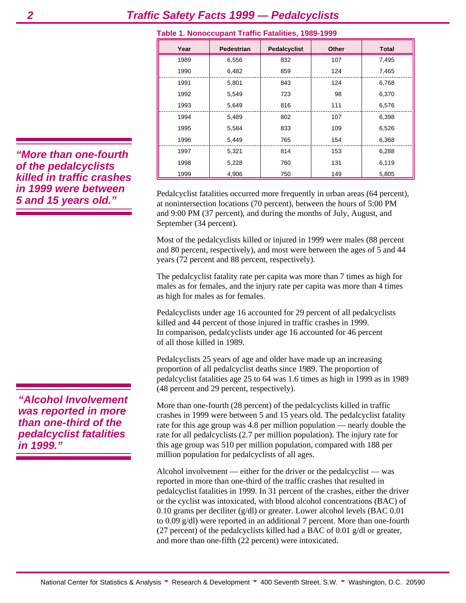| Year | Pedestrian | <b>Pedalcyclist</b> | <b>Other</b> | <b>Total</b> |
|------|------------|---------------------|--------------|--------------|
| 1989 | 6,556      | 832                 | 107          | 7,495        |
| 1990 | 6,482      | 859                 | 124          | 7,465        |
| 1991 | 5,801      | 843                 | 124          | 6,768        |
| 1992 | 5,549      | 723                 | 98           | 6,370        |
| 1993 | 5,649      | 816                 | 111          | 6,576        |
| 1994 | 5,489      | 802                 | 107          | 6,398        |
| 1995 | 5,584      | 833                 | 109          | 6,526        |
| 1996 | 5,449      | 765                 | 154          | 6,368        |
| 1997 | 5,321      | 814                 | 153          | 6,288        |
| 1998 | 5,228      | 760                 | 131          | 6,119        |
| 1999 | 4,906      | 750                 | 149          | 5,805        |

#### **Table 1. Nonoccupant Traffic Fatalities, 1989-1999**

Pedalcyclist fatalities occurred more frequently in urban areas (64 percent), at nonintersection locations (70 percent), between the hours of 5:00 PM and 9:00 PM (37 percent), and during the months of July, August, and September (34 percent).

Most of the pedalcyclists killed or injured in 1999 were males (88 percent and 80 percent, respectively), and most were between the ages of 5 and 44 years (72 percent and 88 percent, respectively).

The pedalcyclist fatality rate per capita was more than 7 times as high for males as for females, and the injury rate per capita was more than 4 times as high for males as for females.

Pedalcyclists under age 16 accounted for 29 percent of all pedalcyclists killed and 44 percent of those injured in traffic crashes in 1999. In comparison, pedalcyclists under age 16 accounted for 46 percent of all those killed in 1989.

Pedalcyclists 25 years of age and older have made up an increasing proportion of all pedalcyclist deaths since 1989. The proportion of pedalcyclist fatalities age 25 to 64 was 1.6 times as high in 1999 as in 1989 (48 percent and 29 percent, respectively).

More than one-fourth (28 percent) of the pedalcyclists killed in traffic crashes in 1999 were between 5 and 15 years old. The pedalcyclist fatality rate for this age group was 4.8 per million population — nearly double the rate for all pedalcyclists (2.7 per million population). The injury rate for this age group was 510 per million population, compared with 188 per million population for pedalcyclists of all ages.

Alcohol involvement — either for the driver or the pedalcyclist — was reported in more than one-third of the traffic crashes that resulted in pedalcyclist fatalities in 1999. In 31 percent of the crashes, either the driver or the cyclist was intoxicated, with blood alcohol concentrations (BAC) of 0.10 grams per deciliter  $(g/dl)$  or greater. Lower alcohol levels (BAC 0.01) to 0.09 g/dl) were reported in an additional 7 percent. More than one-fourth (27 percent) of the pedalcyclists killed had a BAC of 0.01  $g/dl$  or greater, and more than one-fifth (22 percent) were intoxicated.

**"More than one-fourth of the pedalcyclists killed in traffic crashes in 1999 were between 5 and 15 years old."**

**"Alcohol Involvement was reported in more than one-third of the pedalcyclist fatalities in 1999."**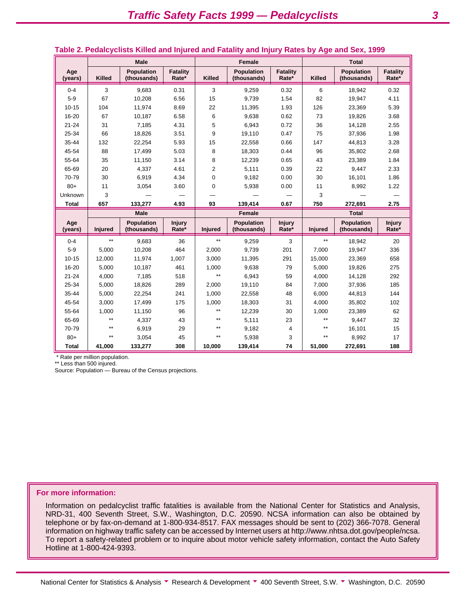|                |               | <b>Male</b>                      |                          |                | <b>Female</b>                    |                          | <b>Total</b>  |                                  |                          |  |
|----------------|---------------|----------------------------------|--------------------------|----------------|----------------------------------|--------------------------|---------------|----------------------------------|--------------------------|--|
| Age<br>(years) | <b>Killed</b> | <b>Population</b><br>(thousands) | <b>Fatality</b><br>Rate* | <b>Killed</b>  | <b>Population</b><br>(thousands) | <b>Fatality</b><br>Rate* | <b>Killed</b> | <b>Population</b><br>(thousands) | <b>Fatality</b><br>Rate* |  |
| $0 - 4$        | 3             | 9.683                            | 0.31                     | 3              | 9,259                            | 0.32                     | 6             | 18,942                           | 0.32                     |  |
| $5-9$          | 67            | 10,208                           | 6.56                     | 15             | 9,739                            | 1.54                     | 82            | 19,947                           | 4.11                     |  |
| $10 - 15$      | 104           | 11,974                           | 8.69                     | 22             | 11,395                           | 1.93                     | 126           | 23,369                           | 5.39                     |  |
| 16-20          | 67            | 10,187                           | 6.58                     | 6              | 9,638                            | 0.62                     | 73            | 19,826                           | 3.68                     |  |
| $21 - 24$      | 31            | 7,185                            | 4.31                     | 5              | 6,943                            | 0.72                     | 36            | 14,128                           | 2.55                     |  |
| 25-34          | 66            | 18,826                           | 3.51                     | 9              | 19,110                           | 0.47                     | 75            | 37,936                           | 1.98                     |  |
| 35-44          | 132           | 22,254                           | 5.93                     | 15             | 22,558                           | 0.66                     | 147           | 44,813                           | 3.28                     |  |
| 45-54          | 88            | 17,499                           | 5.03                     | 8              | 18,303                           | 0.44                     | 96            | 35,802                           | 2.68                     |  |
| 55-64          | 35            | 11,150                           | 3.14                     | 8              | 12,239                           | 0.65                     | 43            | 23,389                           | 1.84                     |  |
| 65-69          | 20            | 4,337                            | 4.61                     | $\overline{2}$ | 5,111                            | 0.39                     | 22            | 9,447                            | 2.33                     |  |
| 70-79          | 30            | 6,919                            | 4.34                     | $\Omega$       | 9,182                            | 0.00                     | 30            | 16,101                           | 1.86                     |  |
| $80+$          | 11            | 3,054                            | 3.60                     | 0              | 5,938                            | 0.00                     | 11            | 8,992                            | 1.22                     |  |
| Unknown        | 3             |                                  |                          |                |                                  |                          | 3             |                                  |                          |  |
| <b>Total</b>   | 657           | 133,277                          | 4.93                     | 93             | 139,414                          | 0.67                     | 750           | 272,691                          | 2.75                     |  |
|                |               | <b>Male</b>                      |                          |                | Female                           |                          |               | <b>Total</b>                     |                          |  |
| Age<br>(years) | Injured       | <b>Population</b><br>(thousands) | <b>Injury</b><br>Rate*   | Injured        | <b>Population</b><br>(thousands) | <b>Injury</b><br>Rate*   | Injured       | <b>Population</b><br>(thousands) | <b>Injury</b><br>Rate*   |  |
| $0 - 4$        | $**$          | 9,683                            | 36                       | $**$           | 9,259                            | 3                        | $**$          | 18,942                           | 20                       |  |
| $5-9$          | 5,000         | 10,208                           | 464                      | 2.000          | 9.739                            | 201                      | 7.000         | 19,947                           | 336                      |  |
| $10 - 15$      | 12,000        | 11,974                           | 1.007                    | 3,000          | 11,395                           | 291                      | 15,000        | 23,369                           | 658                      |  |
| 16-20          | 5,000         | 10,187                           | 461                      | 1,000          | 9,638                            | 79                       | 5,000         | 19,826                           | 275                      |  |
| $21 - 24$      | 4,000         | 7,185                            | 518                      | $**$           | 6,943                            | 59                       | 4,000         | 14,128                           | 292                      |  |
| 25-34          | 5,000         | 18,826                           | 289                      | 2,000          | 19,110                           | 84                       | 7,000         | 37,936                           | 185                      |  |
| 35-44          | 5,000         | 22,254                           | 241                      | 1,000          | 22,558                           | 48                       | 6,000         | 44,813                           | 144                      |  |
| 45-54          | 3.000         | 17.499                           | 175                      | 1.000          | 18,303                           | 31                       | 4.000         | 35,802                           | 102                      |  |
| 55-64          | 1,000         | 11,150                           | 96                       | $**$           | 12,239                           | 30                       | 1,000         | 23,389                           | 62                       |  |
| 65-69          | $**$          | 4,337                            | 43                       | $**$           | 5,111                            | 23                       | $**$          | 9,447                            | 32                       |  |
| 70-79          | $**$          | 6,919                            | 29                       | $**$           | 9,182                            | $\overline{\mathbf{4}}$  | $***$         | 16,101                           | 15                       |  |
| $80+$          | $**$          | 3,054                            | 45                       | $\ddot{ }$     | 5,938                            | 3                        | $**$          | 8,992                            | 17                       |  |
| Total          | 41,000        | 133,277                          | 308                      | 10.000         | 139,414                          | 74                       | 51,000        | 272,691                          | 188                      |  |

#### **Table 2. Pedalcyclists Killed and Injured and Fatality and Injury Rates by Age and Sex, 1999**

\* Rate per million population.

\*\* Less than 500 injured.

Source: Population — Bureau of the Census projections.

#### **For more information:**

Information on pedalcyclist traffic fatalities is available from the National Center for Statistics and Analysis, NRD-31, 400 Seventh Street, S.W., Washington, D.C. 20590. NCSA information can also be obtained by telephone or by fax-on-demand at 1-800-934-8517. FAX messages should be sent to (202) 366-7078. General information on highway traffic safety can be accessed by Internet users at http://www.nhtsa.dot.gov/people/ncsa. To report a safety-related problem or to inquire about motor vehicle safety information, contact the Auto Safety Hotline at 1-800-424-9393.